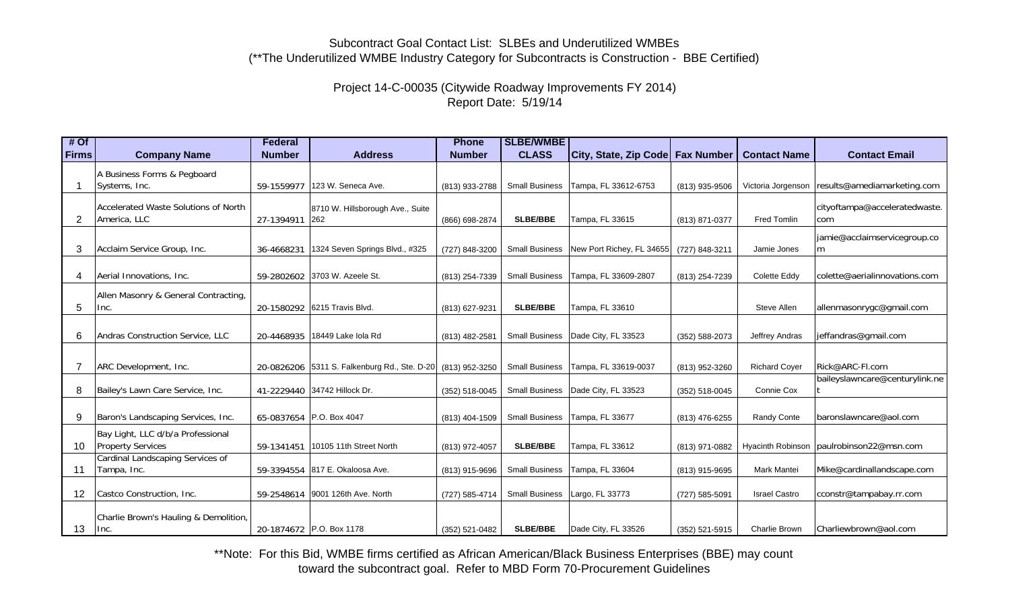#### Project 14-C-00035 (Citywide Roadway Improvements FY 2014) Report Date: 5/19/14

| #Of   |                                               | <b>Federal</b> |                                              | <b>Phone</b>   | <b>SLBE/WMBE</b>      |                                  |                |                      |                                                  |
|-------|-----------------------------------------------|----------------|----------------------------------------------|----------------|-----------------------|----------------------------------|----------------|----------------------|--------------------------------------------------|
| Firms | <b>Company Name</b>                           | <b>Number</b>  | <b>Address</b>                               | <b>Number</b>  | <b>CLASS</b>          | City, State, Zip Code Fax Number |                | <b>Contact Name</b>  | <b>Contact Email</b>                             |
|       | A Business Forms & Pegboard                   |                |                                              |                |                       |                                  |                |                      |                                                  |
|       | Systems, Inc.                                 | 59-1559977     | 123 W. Seneca Ave.                           | (813) 933-2788 | <b>Small Business</b> | Tampa, FL 33612-6753             | (813) 935-9506 |                      | Victoria Jorgenson   results@amediamarketing.com |
|       |                                               |                |                                              |                |                       |                                  |                |                      |                                                  |
|       | Accelerated Waste Solutions of North          |                | 8710 W. Hillsborough Ave., Suite             |                |                       |                                  |                |                      | cityoftampa@acceleratedwaste.                    |
| 2     | America, LLC                                  | 27-1394911 262 |                                              | (866) 698-2874 | <b>SLBE/BBE</b>       | Tampa, FL 33615                  | (813) 871-0377 | Fred Tomlin          | com                                              |
|       |                                               |                |                                              |                |                       |                                  |                |                      | jamie@acclaimservicegroup.co                     |
| 3     | Acclaim Service Group, Inc.                   | 36-4668231     | 1324 Seven Springs Blvd., #325               | (727) 848-3200 | <b>Small Business</b> | New Port Richey, FL 34655        | (727) 848-3211 | Jamie Jones          | m                                                |
|       |                                               |                |                                              |                |                       |                                  |                |                      |                                                  |
| 4     | Aerial Innovations, Inc.                      |                | 59-2802602 3703 W. Azeele St.                | (813) 254-7339 | <b>Small Business</b> | Tampa, FL 33609-2807             | (813) 254-7239 | Colette Eddy         | colette@aerialinnovations.com                    |
|       |                                               |                |                                              |                |                       |                                  |                |                      |                                                  |
|       | Allen Masonry & General Contracting,          |                |                                              |                |                       |                                  |                |                      |                                                  |
| 5     | Inc.                                          |                | 20-1580292 6215 Travis Blvd.                 | (813) 627-9231 | <b>SLBE/BBE</b>       | Tampa, FL 33610                  |                | Steve Allen          | allenmasonrygc@gmail.com                         |
|       |                                               |                |                                              |                |                       |                                  |                |                      |                                                  |
| 6     | Andras Construction Service, LLC              |                | 20-4468935 18449 Lake Iola Rd                | (813) 482-2581 | <b>Small Business</b> | Dade City, FL 33523              | (352) 588-2073 | Jeffrey Andras       | jeffandras@gmail.com                             |
|       |                                               |                |                                              |                |                       |                                  |                |                      |                                                  |
|       | ARC Development, Inc.                         |                | 20-0826206 5311 S. Falkenburg Rd., Ste. D-20 | (813) 952-3250 | <b>Small Business</b> | Tampa, FL 33619-0037             | (813) 952-3260 | <b>Richard Coyer</b> | Rick@ARC-Fl.com                                  |
|       |                                               |                |                                              |                |                       |                                  |                |                      | baileyslawncare@centurylink.ne                   |
| 8     | Bailey's Lawn Care Service, Inc.              |                | 41-2229440 34742 Hillock Dr.                 | (352) 518-0045 | <b>Small Business</b> | Dade City, FL 33523              | (352) 518-0045 | Connie Cox           |                                                  |
|       |                                               |                |                                              |                |                       |                                  |                |                      |                                                  |
| 9     | Baron's Landscaping Services, Inc.            |                | 65-0837654 P.O. Box 4047                     | (813) 404-1509 | <b>Small Business</b> | Tampa, FL 33677                  | (813) 476-6255 | Randy Conte          | baronslawncare@aol.com                           |
|       | Bay Light, LLC d/b/a Professional             |                |                                              |                |                       |                                  |                |                      |                                                  |
| 10    | <b>Property Services</b>                      |                | 59-1341451 10105 11th Street North           | (813) 972-4057 | <b>SLBE/BBE</b>       | Tampa, FL 33612                  | (813) 971-0882 |                      | Hyacinth Robinson   paulrobinson22@msn.com       |
|       | Cardinal Landscaping Services of              |                |                                              |                |                       |                                  |                |                      |                                                  |
| 11    | Tampa, Inc.                                   |                | 59-3394554 817 E. Okaloosa Ave.              | (813) 915-9696 | <b>Small Business</b> | Tampa, FL 33604                  | (813) 915-9695 | <b>Mark Mantei</b>   | Mike@cardinallandscape.com                       |
|       |                                               |                |                                              |                |                       |                                  |                |                      |                                                  |
| 12    | Castco Construction, Inc.                     |                | 59-2548614 9001 126th Ave. North             | (727) 585-4714 | <b>Small Business</b> | Largo, FL 33773                  | (727) 585-5091 | <b>Israel Castro</b> | cconstr@tampabay.rr.com                          |
|       |                                               |                |                                              |                |                       |                                  |                |                      |                                                  |
|       | Charlie Brown's Hauling & Demolition,<br>Inc. |                | 20-1874672 P.O. Box 1178                     |                | <b>SLBE/BBE</b>       | Dade City, FL 33526              |                | Charlie Brown        | Charliewbrown@aol.com                            |
| 13    |                                               |                |                                              | (352) 521-0482 |                       |                                  | (352) 521-5915 |                      |                                                  |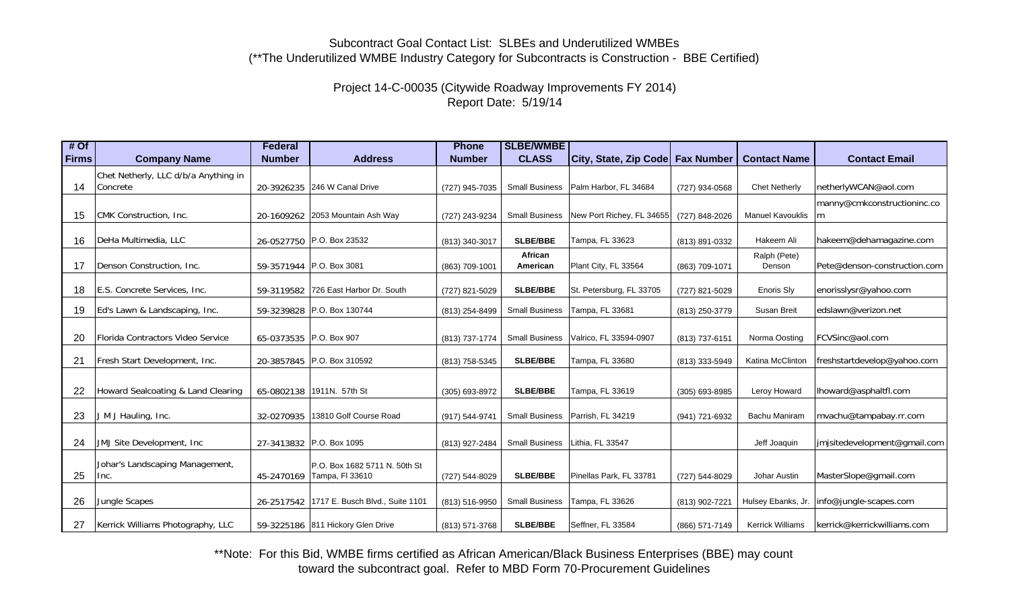Project 14-C-00035 (Citywide Roadway Improvements FY 2014) Report Date: 5/19/14

| $#$ Of       |                                         | <b>Federal</b>          |                                                  | <b>Phone</b>   | <b>SLBE/WMBE</b>      |                                    |                |                         |                              |
|--------------|-----------------------------------------|-------------------------|--------------------------------------------------|----------------|-----------------------|------------------------------------|----------------|-------------------------|------------------------------|
| <b>Firms</b> | <b>Company Name</b>                     | <b>Number</b>           | <b>Address</b>                                   | <b>Number</b>  | <b>CLASS</b>          | City, State, Zip Code   Fax Number |                | <b>Contact Name</b>     | <b>Contact Email</b>         |
|              | Chet Netherly, LLC d/b/a Anything in    |                         |                                                  |                |                       |                                    |                |                         |                              |
| 14           | Concrete                                |                         | 20-3926235 246 W Canal Drive                     | (727) 945-7035 | <b>Small Business</b> | Palm Harbor, FL 34684              | (727) 934-0568 | <b>Chet Netherly</b>    | netherlyWCAN@aol.com         |
|              |                                         |                         |                                                  |                |                       |                                    |                |                         | manny@cmkconstructioninc.co  |
| 15           | CMK Construction, Inc.                  |                         | 20-1609262 2053 Mountain Ash Way                 | (727) 243-9234 | <b>Small Business</b> | New Port Richey, FL 34655          | (727) 848-2026 | <b>Manuel Kavouklis</b> | m                            |
|              |                                         |                         |                                                  |                |                       |                                    |                |                         |                              |
| 16           | DeHa Multimedia, LLC                    |                         | 26-0527750 P.O. Box 23532                        | (813) 340-3017 | <b>SLBE/BBE</b>       | Tampa, FL 33623                    | (813) 891-0332 | Hakeem Ali              | hakeem@dehamagazine.com      |
| 17           | Denson Construction, Inc.               |                         | 59-3571944 P.O. Box 3081                         | (863) 709-1001 | African<br>American   | Plant City, FL 33564               | (863) 709-1071 | Ralph (Pete)<br>Denson  | Pete@denson-construction.com |
|              |                                         |                         |                                                  |                |                       |                                    |                |                         |                              |
| 18           | E.S. Concrete Services, Inc.            | 59-3119582              | 726 East Harbor Dr. South                        | (727) 821-5029 | <b>SLBE/BBE</b>       | St. Petersburg, FL 33705           | (727) 821-5029 | <b>Enoris Sly</b>       | enorisslysr@yahoo.com        |
| 19           | Ed's Lawn & Landscaping, Inc.           | 59-3239828              | P.O. Box 130744                                  | (813) 254-8499 | <b>Small Business</b> | Tampa, FL 33681                    | (813) 250-3779 | Susan Breit             | edslawn@verizon.net          |
|              |                                         |                         |                                                  |                |                       |                                    |                |                         |                              |
| 20           | Florida Contractors Video Service       | 65-0373535 P.O. Box 907 |                                                  | (813) 737-1774 | <b>Small Business</b> | Valrico, FL 33594-0907             | (813) 737-6151 | Norma Oosting           | FCVSinc@aol.com              |
| 21           | Fresh Start Development, Inc.           |                         | 20-3857845 P.O. Box 310592                       | (813) 758-5345 | <b>SLBE/BBE</b>       | Tampa, FL 33680                    | (813) 333-5949 | Katina McClinton        | freshstartdevelop@yahoo.com  |
|              |                                         |                         |                                                  |                |                       |                                    |                |                         |                              |
| 22           | Howard Sealcoating & Land Clearing      |                         | 65-0802138 1911N. 57th St                        | (305) 693-8972 | <b>SLBE/BBE</b>       | Tampa, FL 33619                    | (305) 693-8985 | Leroy Howard            | lhoward@asphaltfl.com        |
|              |                                         |                         |                                                  |                |                       |                                    |                |                         |                              |
| 23           | J M J Hauling, Inc.                     | 32-0270935              | 13810 Golf Course Road                           | (917) 544-9741 | <b>Small Business</b> | Parrish, FL 34219                  | (941) 721-6932 | Bachu Maniram           | mvachu@tampabay.rr.com       |
| 24           | JMJ Site Development, Inc.              |                         | 27-3413832 P.O. Box 1095                         | (813) 927-2484 | <b>Small Business</b> | Lithia, FL 33547                   |                | Jeff Joaquin            | jmjsitedevelopment@gmail.com |
|              |                                         |                         |                                                  |                |                       |                                    |                |                         |                              |
| 25           | Johar's Landscaping Management,<br>Inc. | 45-2470169              | P.O. Box 1682 5711 N. 50th St<br>Tampa, FI 33610 | (727) 544-8029 | <b>SLBE/BBE</b>       | Pinellas Park, FL 33781            | (727) 544-8029 | Johar Austin            | MasterSlope@gmail.com        |
|              |                                         |                         |                                                  |                |                       |                                    |                |                         |                              |
| 26           | Jungle Scapes                           |                         | 26-2517542   1717 E. Busch Blvd., Suite 1101     | (813) 516-9950 | <b>Small Business</b> | Tampa, FL 33626                    | (813) 902-7221 | Hulsey Ebanks, Jr.      | info@jungle-scapes.com       |
| 27           | Kerrick Williams Photography, LLC       |                         | 59-3225186 811 Hickory Glen Drive                | (813) 571-3768 | <b>SLBE/BBE</b>       | Seffner, FL 33584                  | (866) 571-7149 | Kerrick Williams        | kerrick@kerrickwilliams.com  |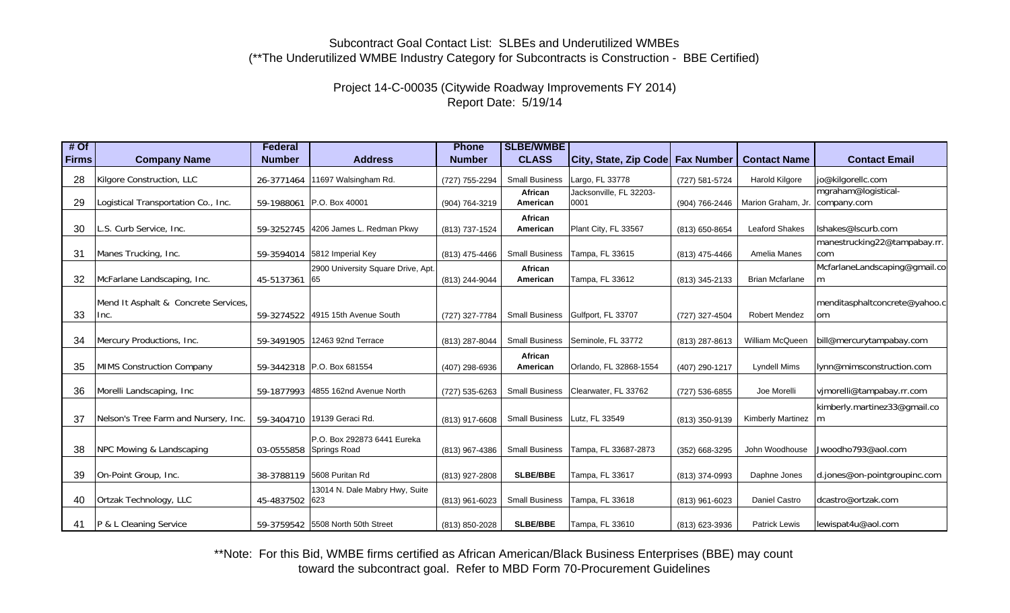# Project 14-C-00035 (Citywide Roadway Improvements FY 2014) Report Date: 5/19/14

| $#$ Of       |                                              | <b>Federal</b> |                                                        | <b>Phone</b>   | <b>SLBE/WMBE</b>      |                                  |                |                          |                                                |
|--------------|----------------------------------------------|----------------|--------------------------------------------------------|----------------|-----------------------|----------------------------------|----------------|--------------------------|------------------------------------------------|
| <b>Firms</b> | <b>Company Name</b>                          | <b>Number</b>  | <b>Address</b>                                         | <b>Number</b>  | <b>CLASS</b>          | City, State, Zip Code Fax Number |                | <b>Contact Name</b>      | <b>Contact Email</b>                           |
| 28           | Kilgore Construction, LLC                    |                | 26-3771464 11697 Walsingham Rd.                        | (727) 755-2294 | <b>Small Business</b> | Largo, FL 33778                  | (727) 581-5724 | Harold Kilgore           | jo@kilgorellc.com                              |
| 29           | Logistical Transportation Co., Inc.          |                | 59-1988061 P.O. Box 40001                              | (904) 764-3219 | African<br>American   | Jacksonville, FL 32203-<br>0001  | (904) 766-2446 | Marion Graham, Jr.       | mgraham@logistical-<br>company.com             |
| 30           | L.S. Curb Service, Inc.                      |                | 59-3252745 4206 James L. Redman Pkwy                   | (813) 737-1524 | African<br>American   | Plant City, FL 33567             | (813) 650-8654 | <b>Leaford Shakes</b>    | Ishakes@Iscurb.com                             |
| 31           | Manes Trucking, Inc.                         |                | 59-3594014 5812 Imperial Key                           | (813) 475-4466 | <b>Small Business</b> | Tampa, FL 33615                  | (813) 475-4466 | Amelia Manes             | manestrucking22@tampabay.rr.<br>com            |
| 32           | McFarlane Landscaping, Inc.                  | 45-5137361 65  | 2900 University Square Drive, Apt.                     | (813) 244-9044 | African<br>American   | Tampa, FL 33612                  | (813) 345-2133 | <b>Brian Mcfarlane</b>   | McfarlaneLandscaping@gmail.co<br>m             |
| 33           | Mend It Asphalt & Concrete Services,<br>Inc. |                | 59-3274522 4915 15th Avenue South                      | (727) 327-7784 | <b>Small Business</b> | Gulfport, FL 33707               | (727) 327-4504 | <b>Robert Mendez</b>     | menditasphaltconcrete@yahoo.c<br><sub>om</sub> |
| 34           | Mercury Productions, Inc.                    |                | 59-3491905 12463 92nd Terrace                          | (813) 287-8044 | <b>Small Business</b> | Seminole, FL 33772               | (813) 287-8613 | William McQueen          | bill@mercurytampabay.com                       |
| 35           | MIMS Construction Company                    |                | 59-3442318 P.O. Box 681554                             | (407) 298-6936 | African<br>American   | Orlando, FL 32868-1554           | (407) 290-1217 | <b>Lyndell Mims</b>      | lynn@mimsconstruction.com                      |
| 36           | Morelli Landscaping, Inc.                    |                | 59-1877993 4855 162nd Avenue North                     | (727) 535-6263 | <b>Small Business</b> | Clearwater, FL 33762             | (727) 536-6855 | Joe Morelli              | vjmorelli@tampabay.rr.com                      |
| 37           | Nelson's Tree Farm and Nursery, Inc.         |                | 59-3404710 19139 Geraci Rd.                            | (813) 917-6608 | <b>Small Business</b> | Lutz. FL 33549                   | (813) 350-9139 | <b>Kimberly Martinez</b> | kimberly.martinez33@qmail.co<br>m              |
| 38           | NPC Mowing & Landscaping                     |                | P.O. Box 292873 6441 Eureka<br>03-0555858 Springs Road | (813) 967-4386 | <b>Small Business</b> | Tampa, FL 33687-2873             | (352) 668-3295 | John Woodhouse           | Jwoodho793@aol.com                             |
| 39           | On-Point Group, Inc.                         |                | 38-3788119 5608 Puritan Rd                             | (813) 927-2808 | <b>SLBE/BBE</b>       | Tampa, FL 33617                  | (813) 374-0993 | Daphne Jones             | d.jones@on-pointgroupinc.com                   |
| 40           | Ortzak Technology, LLC                       | 45-4837502 623 | 13014 N. Dale Mabry Hwy, Suite                         | (813) 961-6023 | <b>Small Business</b> | Tampa, FL 33618                  | (813) 961-6023 | Daniel Castro            | dcastro@ortzak.com                             |
| 41           | P & L Cleaning Service                       |                | 59-3759542 5508 North 50th Street                      | (813) 850-2028 | <b>SLBE/BBE</b>       | Tampa, FL 33610                  | (813) 623-3936 | <b>Patrick Lewis</b>     | lewispat4u@aol.com                             |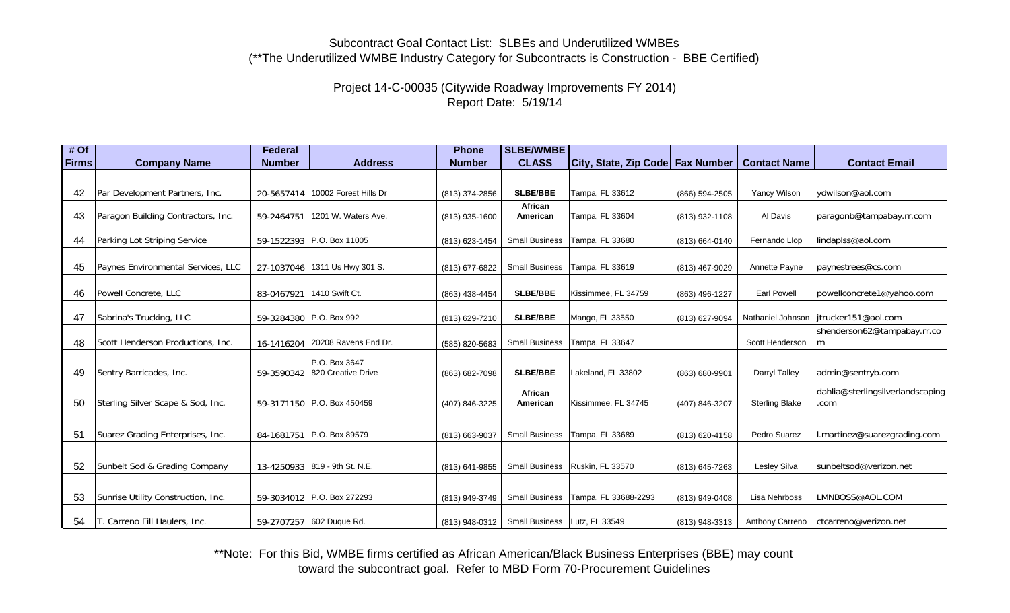Project 14-C-00035 (Citywide Roadway Improvements FY 2014) Report Date: 5/19/14

| $#$ Of |                                    | <b>Federal</b> |                                     | <b>Phone</b>   | <b>SLBE/WMBE</b>              |                                    |                |                        |                                          |
|--------|------------------------------------|----------------|-------------------------------------|----------------|-------------------------------|------------------------------------|----------------|------------------------|------------------------------------------|
| Firms  | <b>Company Name</b>                | <b>Number</b>  | <b>Address</b>                      | <b>Number</b>  | <b>CLASS</b>                  | City, State, Zip Code   Fax Number |                | <b>Contact Name</b>    | <b>Contact Email</b>                     |
|        |                                    |                |                                     |                |                               |                                    |                |                        |                                          |
| 42     | Par Development Partners, Inc.     |                | 20-5657414   10002 Forest Hills Dr  | (813) 374-2856 | SLBE/BBE                      | Tampa, FL 33612                    | (866) 594-2505 | <b>Yancy Wilson</b>    | ydwilson@aol.com                         |
| 43     | Paragon Building Contractors, Inc. | 59-2464751     | 1201 W. Waters Ave.                 | (813) 935-1600 | African<br>American           | Tampa, FL 33604                    | (813) 932-1108 | Al Davis               | paragonb@tampabay.rr.com                 |
| 44     | Parking Lot Striping Service       |                | 59-1522393 P.O. Box 11005           | (813) 623-1454 | <b>Small Business</b>         | Tampa, FL 33680                    | (813) 664-0140 | Fernando Llop          | lindaplss@aol.com                        |
| 45     | Paynes Environmental Services, LLC |                | 27-1037046 1311 Us Hwy 301 S.       | (813) 677-6822 | <b>Small Business</b>         | Tampa, FL 33619                    | (813) 467-9029 | Annette Payne          | paynestrees@cs.com                       |
| 46     | Powell Concrete, LLC               | 83-0467921     | 1410 Swift Ct.                      | (863) 438-4454 | SLBE/BBE                      | Kissimmee, FL 34759                | (863) 496-1227 | <b>Earl Powell</b>     | powellconcrete1@yahoo.com                |
| 47     | Sabrina's Trucking, LLC            |                | 59-3284380 P.O. Box 992             | (813) 629-7210 | <b>SLBE/BBE</b>               | Mango, FL 33550                    | (813) 627-9094 | Nathaniel Johnson      | itrucker151@aol.com                      |
| 48     | Scott Henderson Productions, Inc.  | 16-1416204     | 20208 Ravens End Dr.                | (585) 820-5683 | <b>Small Business</b>         | Tampa, FL 33647                    |                | Scott Henderson        | shenderson62@tampabay.rr.co<br>m         |
| 49     | Sentry Barricades, Inc.            | 59-3590342     | P.O. Box 3647<br>820 Creative Drive | (863) 682-7098 | SLBE/BBE                      | Lakeland, FL 33802                 | (863) 680-9901 | Darryl Talley          | admin@sentryb.com                        |
| 50     | Sterling Silver Scape & Sod, Inc.  |                | 59-3171150 P.O. Box 450459          | (407) 846-3225 | African<br>American           | Kissimmee, FL 34745                | (407) 846-3207 | <b>Sterling Blake</b>  | dahlia@sterlingsilverlandscaping<br>.com |
| 51     | Suarez Grading Enterprises, Inc.   |                | 84-1681751 P.O. Box 89579           |                | <b>Small Business</b>         | Tampa, FL 33689                    |                | Pedro Suarez           | l.martinez@suarezgrading.com             |
|        |                                    |                |                                     | (813) 663-9037 |                               |                                    | (813) 620-4158 |                        |                                          |
| 52     | Sunbelt Sod & Grading Company      |                | 13-4250933 819 - 9th St. N.E.       | (813) 641-9855 | <b>Small Business</b>         | Ruskin, FL 33570                   | (813) 645-7263 | Lesley Silva           | sunbeltsod@verizon.net                   |
| 53     | Sunrise Utility Construction, Inc. |                | 59-3034012 P.O. Box 272293          | (813) 949-3749 | <b>Small Business</b>         | Tampa, FL 33688-2293               | (813) 949-0408 | Lisa Nehrboss          | LMNBOSS@AOL.COM                          |
| 54     | T. Carreno Fill Haulers, Inc.      |                | 59-2707257 602 Duque Rd.            | (813) 948-0312 | Small Business Lutz, FL 33549 |                                    | (813) 948-3313 | <b>Anthony Carreno</b> | ctcarreno@verizon.net                    |